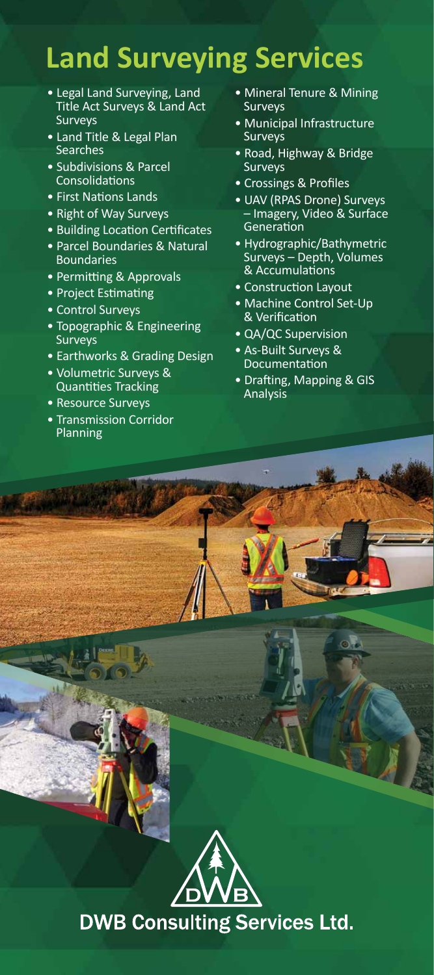## **Land Surveying Services**

- Legal Land Surveying, Land Title Act Surveys & Land Act **Surveys**
- Land Title & Legal Plan **Searches**
- Subdivisions & Parcel Consolidations
- First Nations Lands
- Right of Way Surveys
- Building Location Certificates
- Parcel Boundaries & Natural Boundaries
- Permitting & Approvals
- Project Estimating
- Control Surveys
- Topographic & Engineering Surveys
- Earthworks & Grading Design
- Volumetric Surveys & Quantities Tracking
- Resource Surveys
- Transmission Corridor Planning
- Mineral Tenure & Mining **Surveys**
- Municipal Infrastructure **Surveys**
- Road, Highway & Bridge Surveys
- Crossings & Profiles
- UAV (RPAS Drone) Surveys – Imagery, Video & Surface Generation
- Hydrographic/Bathymetric Surveys – Depth, Volumes & Accumulations
- Construction Layout
- Machine Control Set-Up & Verification
- QA/QC Supervision
- As-Built Surveys & Documentation
- Drafting, Mapping & GIS Analysis